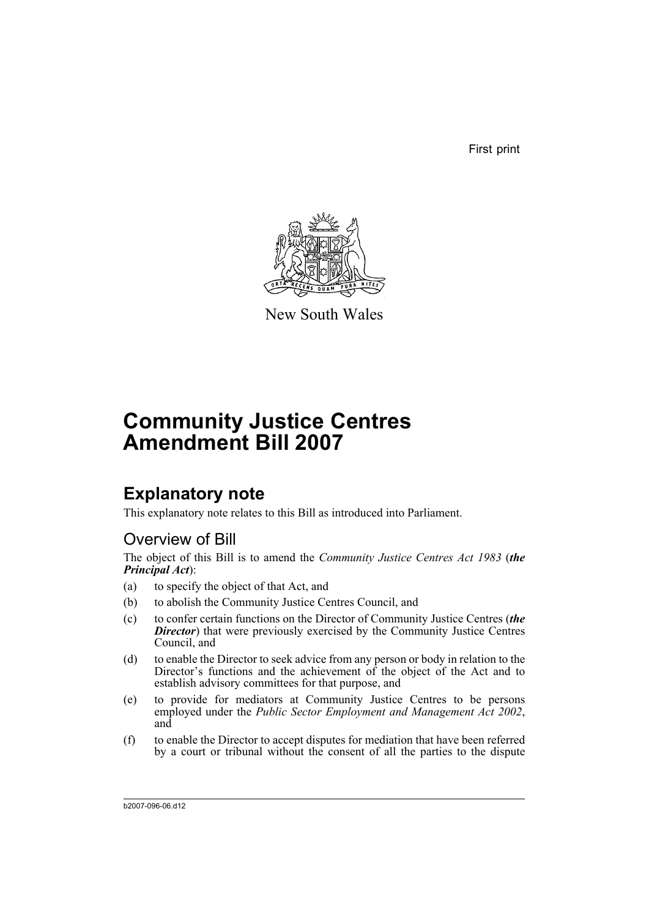First print



New South Wales

# **Community Justice Centres Amendment Bill 2007**

## **Explanatory note**

This explanatory note relates to this Bill as introduced into Parliament.

## Overview of Bill

The object of this Bill is to amend the *Community Justice Centres Act 1983* (*the Principal Act*):

- (a) to specify the object of that Act, and
- (b) to abolish the Community Justice Centres Council, and
- (c) to confer certain functions on the Director of Community Justice Centres (*the* **Director**) that were previously exercised by the Community Justice Centres Council, and
- (d) to enable the Director to seek advice from any person or body in relation to the Director's functions and the achievement of the object of the Act and to establish advisory committees for that purpose, and
- (e) to provide for mediators at Community Justice Centres to be persons employed under the *Public Sector Employment and Management Act 2002*, and
- (f) to enable the Director to accept disputes for mediation that have been referred by a court or tribunal without the consent of all the parties to the dispute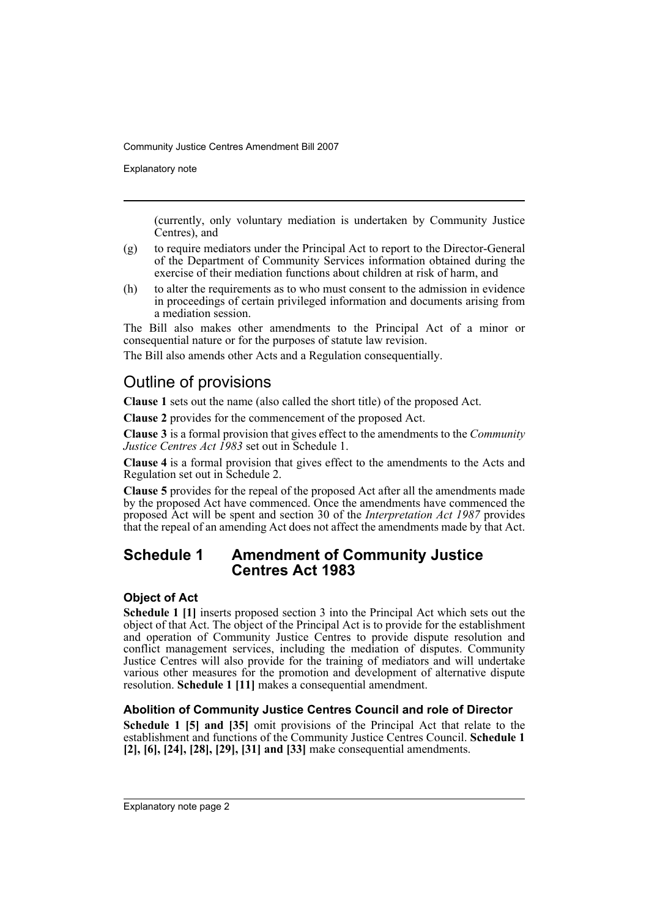Explanatory note

(currently, only voluntary mediation is undertaken by Community Justice Centres), and

- (g) to require mediators under the Principal Act to report to the Director-General of the Department of Community Services information obtained during the exercise of their mediation functions about children at risk of harm, and
- (h) to alter the requirements as to who must consent to the admission in evidence in proceedings of certain privileged information and documents arising from a mediation session.

The Bill also makes other amendments to the Principal Act of a minor or consequential nature or for the purposes of statute law revision.

The Bill also amends other Acts and a Regulation consequentially.

## Outline of provisions

**Clause 1** sets out the name (also called the short title) of the proposed Act.

**Clause 2** provides for the commencement of the proposed Act.

**Clause 3** is a formal provision that gives effect to the amendments to the *Community Justice Centres Act 1983* set out in Schedule 1.

**Clause 4** is a formal provision that gives effect to the amendments to the Acts and Regulation set out in Schedule 2.

**Clause 5** provides for the repeal of the proposed Act after all the amendments made by the proposed Act have commenced. Once the amendments have commenced the proposed Act will be spent and section 30 of the *Interpretation Act 1987* provides that the repeal of an amending Act does not affect the amendments made by that Act.

## **Schedule 1 Amendment of Community Justice Centres Act 1983**

### **Object of Act**

**Schedule 1 [1]** inserts proposed section 3 into the Principal Act which sets out the object of that Act. The object of the Principal Act is to provide for the establishment and operation of Community Justice Centres to provide dispute resolution and conflict management services, including the mediation of disputes. Community Justice Centres will also provide for the training of mediators and will undertake various other measures for the promotion and development of alternative dispute resolution. **Schedule 1 [11]** makes a consequential amendment.

### **Abolition of Community Justice Centres Council and role of Director**

**Schedule 1 [5] and [35]** omit provisions of the Principal Act that relate to the establishment and functions of the Community Justice Centres Council. **Schedule 1 [2], [6], [24], [28], [29], [31] and [33]** make consequential amendments.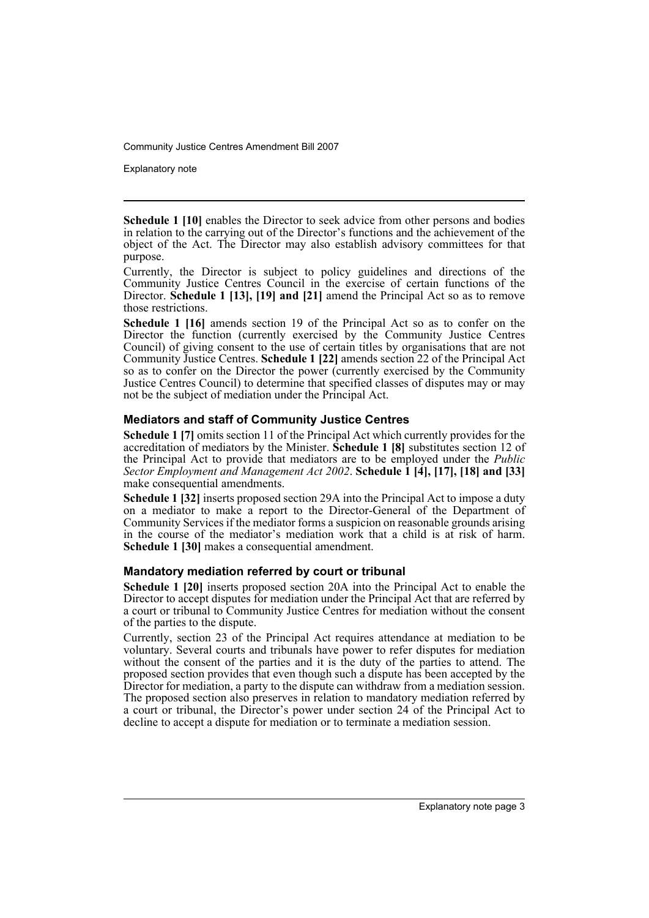Explanatory note

**Schedule 1 [10]** enables the Director to seek advice from other persons and bodies in relation to the carrying out of the Director's functions and the achievement of the object of the Act. The Director may also establish advisory committees for that purpose.

Currently, the Director is subject to policy guidelines and directions of the Community Justice Centres Council in the exercise of certain functions of the Director. **Schedule 1 [13], [19] and [21]** amend the Principal Act so as to remove those restrictions.

**Schedule 1 [16]** amends section 19 of the Principal Act so as to confer on the Director the function (currently exercised by the Community Justice Centres Council) of giving consent to the use of certain titles by organisations that are not Community Justice Centres. **Schedule 1 [22]** amends section 22 of the Principal Act so as to confer on the Director the power (currently exercised by the Community Justice Centres Council) to determine that specified classes of disputes may or may not be the subject of mediation under the Principal Act.

#### **Mediators and staff of Community Justice Centres**

**Schedule 1 [7]** omits section 11 of the Principal Act which currently provides for the accreditation of mediators by the Minister. **Schedule 1 [8]** substitutes section 12 of the Principal Act to provide that mediators are to be employed under the *Public Sector Employment and Management Act 2002*. **Schedule 1 [4], [17], [18] and [33]** make consequential amendments.

**Schedule 1 [32]** inserts proposed section 29A into the Principal Act to impose a duty on a mediator to make a report to the Director-General of the Department of Community Services if the mediator forms a suspicion on reasonable grounds arising in the course of the mediator's mediation work that a child is at risk of harm. **Schedule 1 [30]** makes a consequential amendment.

#### **Mandatory mediation referred by court or tribunal**

**Schedule 1 [20]** inserts proposed section 20A into the Principal Act to enable the Director to accept disputes for mediation under the Principal Act that are referred by a court or tribunal to Community Justice Centres for mediation without the consent of the parties to the dispute.

Currently, section 23 of the Principal Act requires attendance at mediation to be voluntary. Several courts and tribunals have power to refer disputes for mediation without the consent of the parties and it is the duty of the parties to attend. The proposed section provides that even though such a dispute has been accepted by the Director for mediation, a party to the dispute can withdraw from a mediation session. The proposed section also preserves in relation to mandatory mediation referred by a court or tribunal, the Director's power under section 24 of the Principal Act to decline to accept a dispute for mediation or to terminate a mediation session.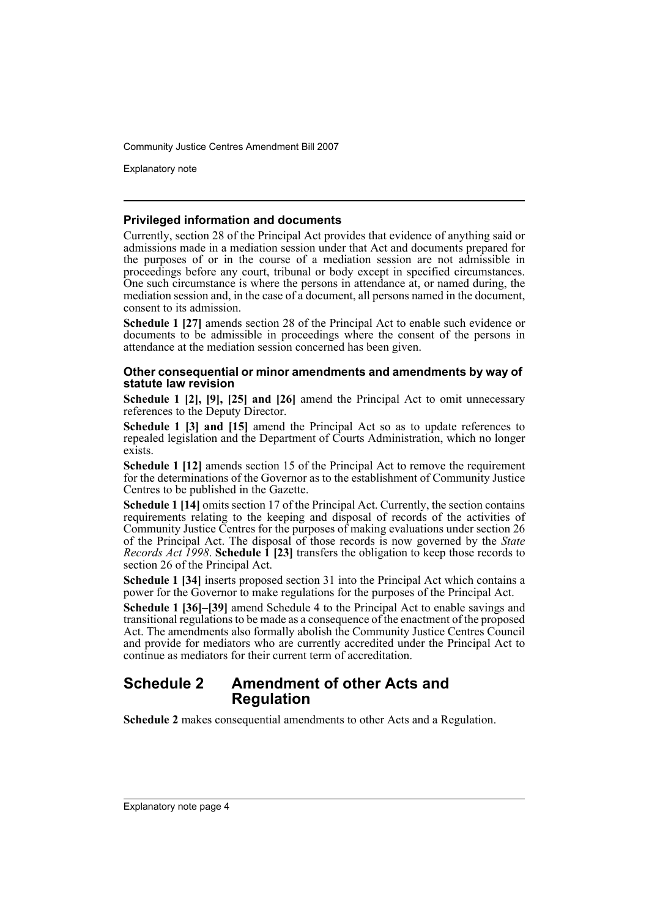Explanatory note

#### **Privileged information and documents**

Currently, section 28 of the Principal Act provides that evidence of anything said or admissions made in a mediation session under that Act and documents prepared for the purposes of or in the course of a mediation session are not admissible in proceedings before any court, tribunal or body except in specified circumstances. One such circumstance is where the persons in attendance at, or named during, the mediation session and, in the case of a document, all persons named in the document, consent to its admission.

**Schedule 1 [27]** amends section 28 of the Principal Act to enable such evidence or documents to be admissible in proceedings where the consent of the persons in attendance at the mediation session concerned has been given.

#### **Other consequential or minor amendments and amendments by way of statute law revision**

**Schedule 1 [2], [9], [25] and [26]** amend the Principal Act to omit unnecessary references to the Deputy Director.

**Schedule 1 [3] and [15]** amend the Principal Act so as to update references to repealed legislation and the Department of Courts Administration, which no longer exists.

**Schedule 1 [12]** amends section 15 of the Principal Act to remove the requirement for the determinations of the Governor as to the establishment of Community Justice Centres to be published in the Gazette.

**Schedule 1 [14]** omits section 17 of the Principal Act. Currently, the section contains requirements relating to the keeping and disposal of records of the activities of Community Justice Centres for the purposes of making evaluations under section 26 of the Principal Act. The disposal of those records is now governed by the *State Records Act 1998*. **Schedule 1 [23]** transfers the obligation to keep those records to section 26 of the Principal Act.

**Schedule 1 [34]** inserts proposed section 31 into the Principal Act which contains a power for the Governor to make regulations for the purposes of the Principal Act.

**Schedule 1 [36]–[39]** amend Schedule 4 to the Principal Act to enable savings and transitional regulations to be made as a consequence of the enactment of the proposed Act. The amendments also formally abolish the Community Justice Centres Council and provide for mediators who are currently accredited under the Principal Act to continue as mediators for their current term of accreditation.

### **Schedule 2 Amendment of other Acts and Regulation**

**Schedule 2** makes consequential amendments to other Acts and a Regulation.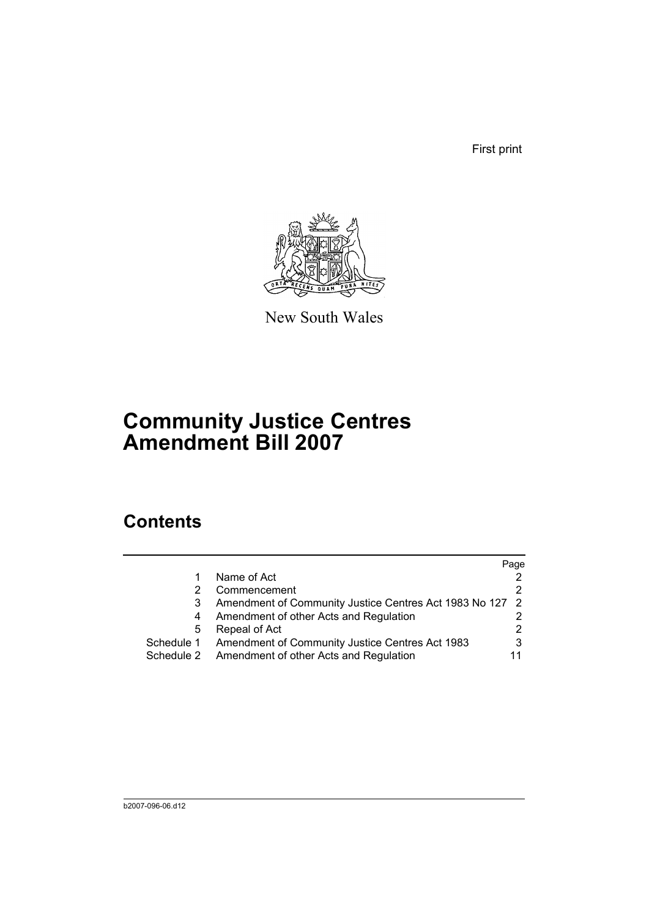First print



New South Wales

# **Community Justice Centres Amendment Bill 2007**

## **Contents**

|            |                                                          | Page |
|------------|----------------------------------------------------------|------|
|            | Name of Act                                              |      |
|            | Commencement                                             |      |
| 3          | Amendment of Community Justice Centres Act 1983 No 127 2 |      |
| 4          | Amendment of other Acts and Regulation                   |      |
| 5          | Repeal of Act                                            |      |
| Schedule 1 | Amendment of Community Justice Centres Act 1983          |      |
| Schedule 2 | Amendment of other Acts and Regulation                   |      |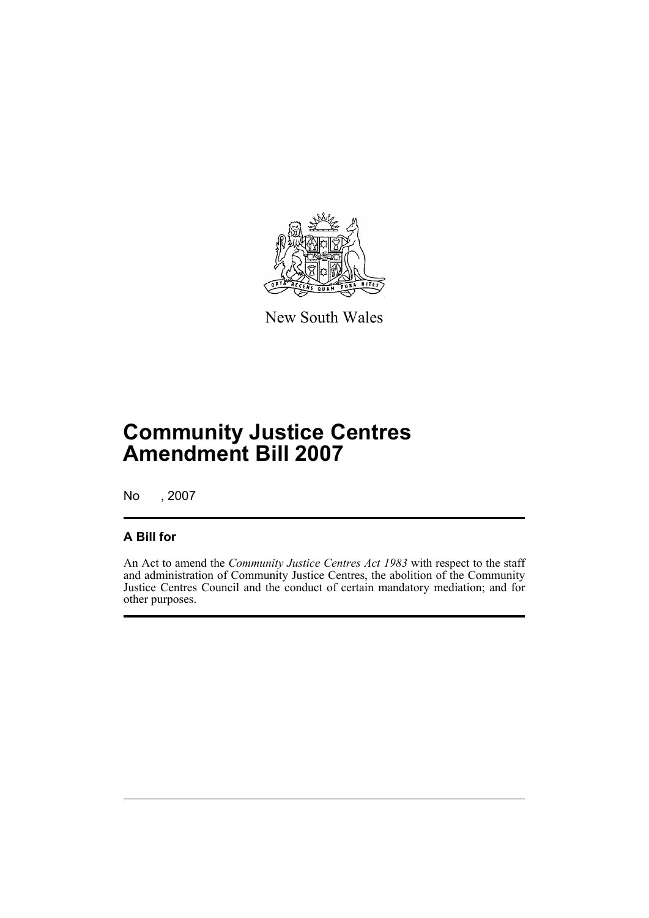

New South Wales

# **Community Justice Centres Amendment Bill 2007**

No , 2007

## **A Bill for**

An Act to amend the *Community Justice Centres Act 1983* with respect to the staff and administration of Community Justice Centres, the abolition of the Community Justice Centres Council and the conduct of certain mandatory mediation; and for other purposes.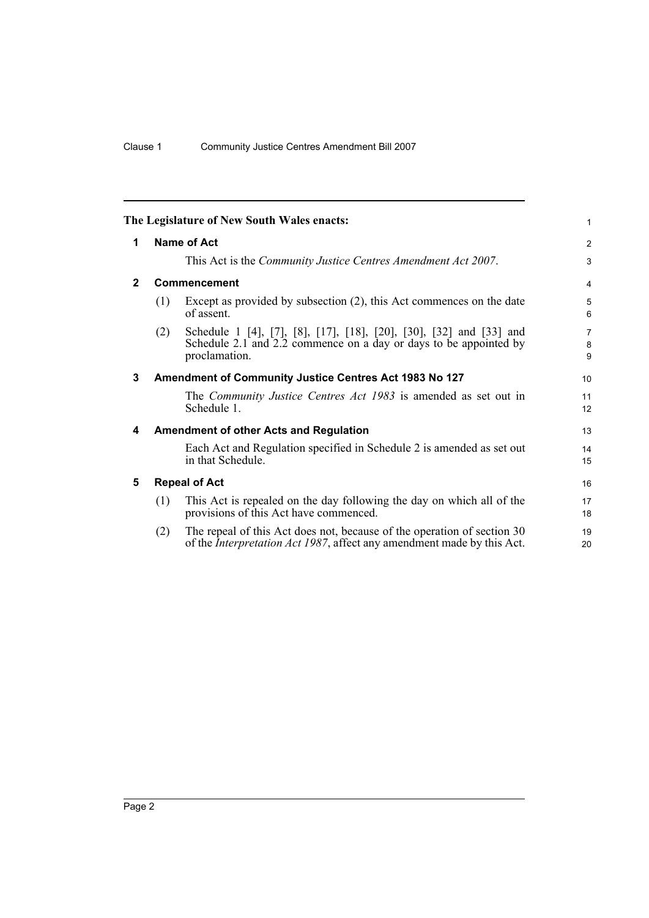<span id="page-7-4"></span><span id="page-7-3"></span><span id="page-7-2"></span><span id="page-7-1"></span><span id="page-7-0"></span>

|              |                    | The Legislature of New South Wales enacts:                                                                                                                | 1                        |  |  |  |  |
|--------------|--------------------|-----------------------------------------------------------------------------------------------------------------------------------------------------------|--------------------------|--|--|--|--|
| 1            | <b>Name of Act</b> |                                                                                                                                                           |                          |  |  |  |  |
|              |                    | This Act is the <i>Community Justice Centres Amendment Act 2007</i> .                                                                                     | 3                        |  |  |  |  |
| $\mathbf{2}$ |                    | Commencement                                                                                                                                              | $\overline{4}$           |  |  |  |  |
|              | (1)                | Except as provided by subsection $(2)$ , this Act commences on the date<br>of assent.                                                                     | 5<br>6                   |  |  |  |  |
|              | (2)                | Schedule 1 [4], [7], [8], [17], [18], [20], [30], [32] and [33] and<br>Schedule 2.1 and 2.2 commence on a day or days to be appointed by<br>proclamation. | $\overline{7}$<br>8<br>9 |  |  |  |  |
| 3            |                    | Amendment of Community Justice Centres Act 1983 No 127                                                                                                    | 10                       |  |  |  |  |
|              |                    | The <i>Community Justice Centres Act 1983</i> is amended as set out in<br>Schedule 1.                                                                     | 11<br>12                 |  |  |  |  |
| 4            |                    | <b>Amendment of other Acts and Regulation</b>                                                                                                             | 13                       |  |  |  |  |
|              |                    | Each Act and Regulation specified in Schedule 2 is amended as set out<br>in that Schedule.                                                                | 14<br>15                 |  |  |  |  |
| 5            |                    | <b>Repeal of Act</b>                                                                                                                                      | 16                       |  |  |  |  |
|              | (1)                | This Act is repealed on the day following the day on which all of the<br>provisions of this Act have commenced.                                           | 17<br>18                 |  |  |  |  |
|              | (2)                | The repeal of this Act does not, because of the operation of section 30<br>of the Interpretation Act 1987, affect any amendment made by this Act.         | 19<br>20                 |  |  |  |  |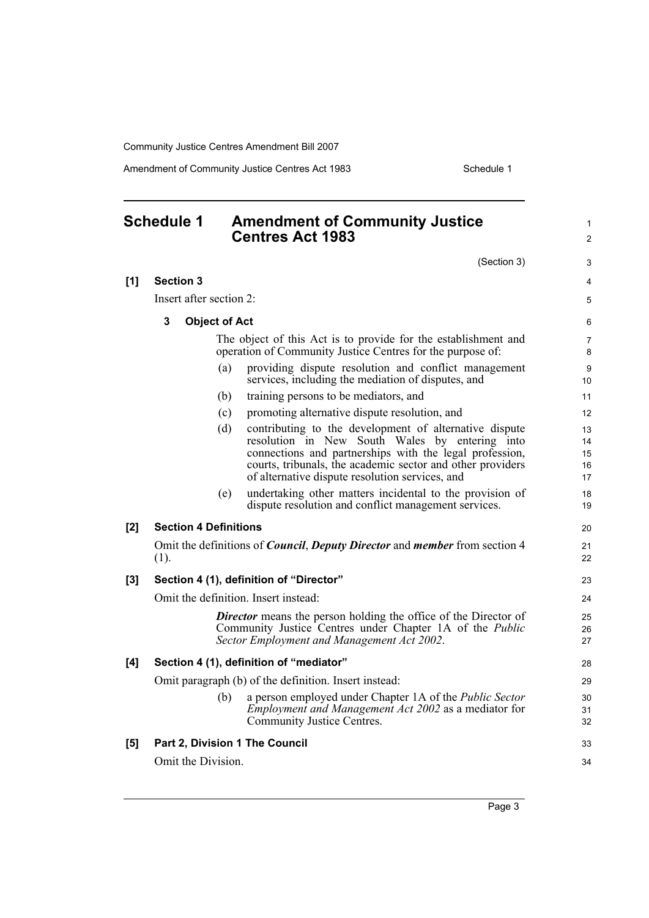Amendment of Community Justice Centres Act 1983 Schedule 1

<span id="page-8-0"></span>

| <b>Schedule 1</b> |                              |                      | <b>Amendment of Community Justice</b><br><b>Centres Act 1983</b>                                                                                                                                                                                                                     | 1<br>$\overline{c}$        |
|-------------------|------------------------------|----------------------|--------------------------------------------------------------------------------------------------------------------------------------------------------------------------------------------------------------------------------------------------------------------------------------|----------------------------|
|                   |                              |                      | (Section 3)                                                                                                                                                                                                                                                                          | 3                          |
| [1]               | <b>Section 3</b>             |                      |                                                                                                                                                                                                                                                                                      | 4                          |
|                   | Insert after section 2:      |                      |                                                                                                                                                                                                                                                                                      | 5                          |
|                   | 3                            | <b>Object of Act</b> |                                                                                                                                                                                                                                                                                      | 6                          |
|                   |                              |                      | The object of this Act is to provide for the establishment and<br>operation of Community Justice Centres for the purpose of:                                                                                                                                                         | 7<br>8                     |
|                   |                              | (a)                  | providing dispute resolution and conflict management<br>services, including the mediation of disputes, and                                                                                                                                                                           | 9<br>10                    |
|                   |                              | (b)                  | training persons to be mediators, and                                                                                                                                                                                                                                                | 11                         |
|                   |                              | (c)                  | promoting alternative dispute resolution, and                                                                                                                                                                                                                                        | 12                         |
|                   |                              | (d)                  | contributing to the development of alternative dispute<br>resolution in New South Wales by entering into<br>connections and partnerships with the legal profession,<br>courts, tribunals, the academic sector and other providers<br>of alternative dispute resolution services, and | 13<br>14<br>15<br>16<br>17 |
|                   |                              | (e)                  | undertaking other matters incidental to the provision of<br>dispute resolution and conflict management services.                                                                                                                                                                     | 18<br>19                   |
| [2]               | <b>Section 4 Definitions</b> |                      |                                                                                                                                                                                                                                                                                      | 20                         |
|                   | (1).                         |                      | Omit the definitions of <i>Council</i> , <i>Deputy Director</i> and <i>member</i> from section 4                                                                                                                                                                                     | 21<br>22                   |
| [3]               |                              |                      | Section 4 (1), definition of "Director"                                                                                                                                                                                                                                              | 23                         |
|                   |                              |                      | Omit the definition. Insert instead:                                                                                                                                                                                                                                                 | 24                         |
|                   |                              |                      | <b>Director</b> means the person holding the office of the Director of<br>Community Justice Centres under Chapter 1A of the <i>Public</i><br>Sector Employment and Management Act 2002.                                                                                              | 25<br>26<br>27             |
| [4]               |                              |                      | Section 4 (1), definition of "mediator"                                                                                                                                                                                                                                              | 28                         |
|                   |                              |                      | Omit paragraph (b) of the definition. Insert instead:                                                                                                                                                                                                                                | 29                         |
|                   |                              |                      | (b) a person employed under Chapter 1A of the <i>Public Sector</i><br><i>Employment and Management Act 2002</i> as a mediator for<br>Community Justice Centres.                                                                                                                      | 30<br>31<br>32             |
| [5]               |                              |                      | Part 2, Division 1 The Council                                                                                                                                                                                                                                                       | 33                         |
|                   | Omit the Division.           |                      |                                                                                                                                                                                                                                                                                      | 34                         |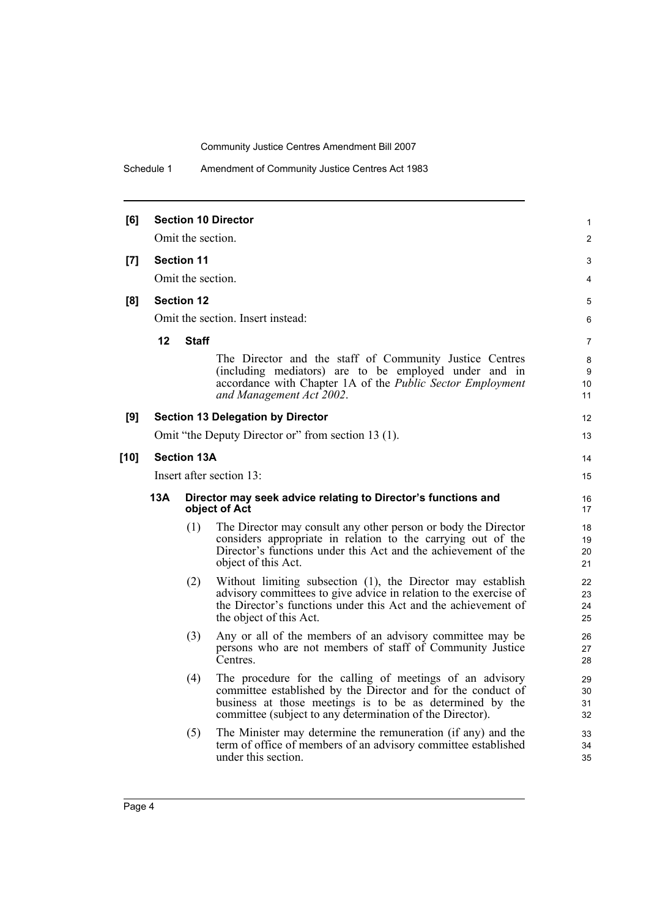Schedule 1 Amendment of Community Justice Centres Act 1983

| [6]    |                                                                                                                                           | Omit the section.  | <b>Section 10 Director</b>                                                                                                                                                                                                                        | $\mathbf{1}$<br>2    |  |  |  |  |
|--------|-------------------------------------------------------------------------------------------------------------------------------------------|--------------------|---------------------------------------------------------------------------------------------------------------------------------------------------------------------------------------------------------------------------------------------------|----------------------|--|--|--|--|
|        |                                                                                                                                           |                    |                                                                                                                                                                                                                                                   | 3                    |  |  |  |  |
| [7]    | <b>Section 11</b>                                                                                                                         |                    |                                                                                                                                                                                                                                                   |                      |  |  |  |  |
|        | Omit the section.                                                                                                                         |                    |                                                                                                                                                                                                                                                   |                      |  |  |  |  |
| [8]    | <b>Section 12</b>                                                                                                                         |                    |                                                                                                                                                                                                                                                   |                      |  |  |  |  |
|        |                                                                                                                                           |                    | Omit the section. Insert instead:                                                                                                                                                                                                                 | 6                    |  |  |  |  |
|        | 12                                                                                                                                        | <b>Staff</b>       |                                                                                                                                                                                                                                                   | $\overline{7}$       |  |  |  |  |
|        |                                                                                                                                           |                    | The Director and the staff of Community Justice Centres<br>(including mediators) are to be employed under and in<br>accordance with Chapter 1A of the Public Sector Employment<br>and Management Act 2002.                                        | 8<br>9<br>10<br>11   |  |  |  |  |
| [9]    |                                                                                                                                           |                    | <b>Section 13 Delegation by Director</b>                                                                                                                                                                                                          | 12                   |  |  |  |  |
|        |                                                                                                                                           |                    | Omit "the Deputy Director or" from section 13 (1).                                                                                                                                                                                                | 13                   |  |  |  |  |
| $[10]$ |                                                                                                                                           | <b>Section 13A</b> |                                                                                                                                                                                                                                                   | 14                   |  |  |  |  |
|        |                                                                                                                                           |                    | Insert after section 13:                                                                                                                                                                                                                          | 15                   |  |  |  |  |
|        | 13A                                                                                                                                       |                    | Director may seek advice relating to Director's functions and<br>object of Act                                                                                                                                                                    | 16<br>17             |  |  |  |  |
|        |                                                                                                                                           | (1)                | The Director may consult any other person or body the Director<br>considers appropriate in relation to the carrying out of the<br>Director's functions under this Act and the achievement of the<br>object of this Act.                           | 18<br>19<br>20<br>21 |  |  |  |  |
|        |                                                                                                                                           | (2)                | Without limiting subsection (1), the Director may establish<br>advisory committees to give advice in relation to the exercise of<br>the Director's functions under this Act and the achievement of<br>the object of this Act.                     | 22<br>23<br>24<br>25 |  |  |  |  |
|        | Any or all of the members of an advisory committee may be<br>(3)<br>persons who are not members of staff of Community Justice<br>Centres. |                    |                                                                                                                                                                                                                                                   |                      |  |  |  |  |
|        |                                                                                                                                           | (4)                | The procedure for the calling of meetings of an advisory<br>committee established by the Director and for the conduct of<br>business at those meetings is to be as determined by the<br>committee (subject to any determination of the Director). | 29<br>30<br>31<br>32 |  |  |  |  |
|        |                                                                                                                                           | (5)                | The Minister may determine the remuneration (if any) and the<br>term of office of members of an advisory committee established<br>under this section.                                                                                             | 33<br>34<br>35       |  |  |  |  |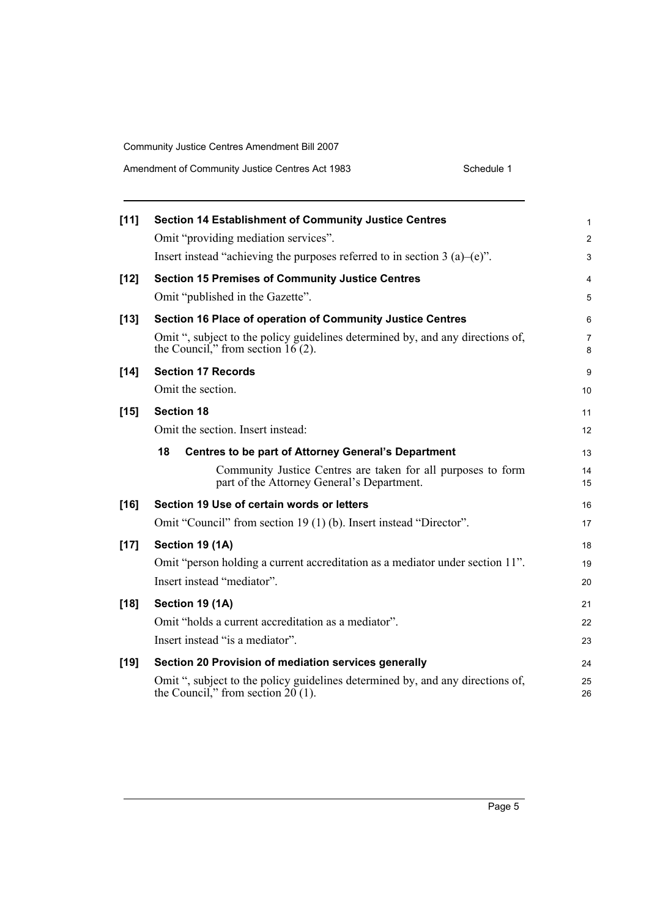| Amendment of Community Justice Centres Act 1983 | Schedule 1 |
|-------------------------------------------------|------------|
|-------------------------------------------------|------------|

| $[11]$ | <b>Section 14 Establishment of Community Justice Centres</b>                                                           | 1        |
|--------|------------------------------------------------------------------------------------------------------------------------|----------|
|        | Omit "providing mediation services".                                                                                   | 2        |
|        | Insert instead "achieving the purposes referred to in section 3 (a)–(e)".                                              | 3        |
| $[12]$ | <b>Section 15 Premises of Community Justice Centres</b>                                                                | 4        |
|        | Omit "published in the Gazette".                                                                                       | 5        |
| $[13]$ | Section 16 Place of operation of Community Justice Centres                                                             | 6        |
|        | Omit ", subject to the policy guidelines determined by, and any directions of,<br>the Council," from section $16(2)$ . | 7<br>8   |
| $[14]$ | <b>Section 17 Records</b>                                                                                              | 9        |
|        | Omit the section.                                                                                                      | 10       |
| $[15]$ | <b>Section 18</b>                                                                                                      | 11       |
|        | Omit the section. Insert instead:                                                                                      | 12       |
|        | 18<br><b>Centres to be part of Attorney General's Department</b>                                                       | 13       |
|        | Community Justice Centres are taken for all purposes to form<br>part of the Attorney General's Department.             | 14<br>15 |
| $[16]$ | Section 19 Use of certain words or letters                                                                             | 16       |
|        | Omit "Council" from section 19 (1) (b). Insert instead "Director".                                                     | 17       |
| $[17]$ | Section 19 (1A)                                                                                                        | 18       |
|        | Omit "person holding a current accreditation as a mediator under section 11".                                          | 19       |
|        | Insert instead "mediator".                                                                                             | 20       |
| $[18]$ | Section 19 (1A)                                                                                                        | 21       |
|        | Omit "holds a current accreditation as a mediator".                                                                    | 22       |
|        | Insert instead "is a mediator".                                                                                        | 23       |
| $[19]$ | Section 20 Provision of mediation services generally                                                                   | 24       |
|        | Omit ", subject to the policy guidelines determined by, and any directions of,<br>the Council," from section $20(1)$ . | 25<br>26 |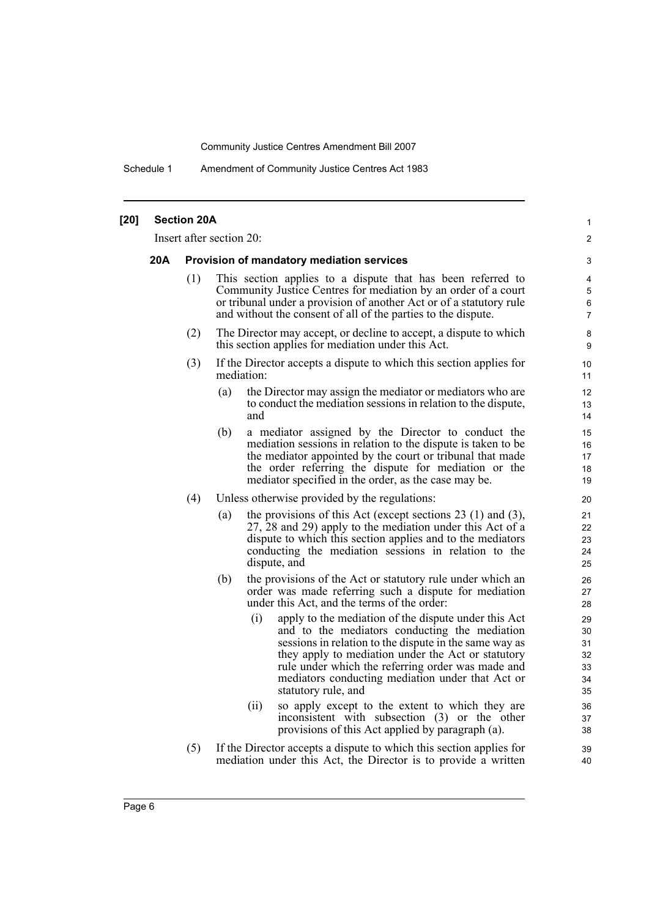Schedule 1 Amendment of Community Justice Centres Act 1983

| $[20]$ |     | <b>Section 20A</b>                        |                          |                                                                                                                                                                                                                                                                                                                                                              | 1                                      |  |  |
|--------|-----|-------------------------------------------|--------------------------|--------------------------------------------------------------------------------------------------------------------------------------------------------------------------------------------------------------------------------------------------------------------------------------------------------------------------------------------------------------|----------------------------------------|--|--|
|        |     |                                           | Insert after section 20: |                                                                                                                                                                                                                                                                                                                                                              | 2                                      |  |  |
|        | 20A | Provision of mandatory mediation services |                          |                                                                                                                                                                                                                                                                                                                                                              |                                        |  |  |
|        |     | (1)                                       |                          | This section applies to a dispute that has been referred to<br>Community Justice Centres for mediation by an order of a court<br>or tribunal under a provision of another Act or of a statutory rule<br>and without the consent of all of the parties to the dispute.                                                                                        | 4<br>5<br>$\,6\,$<br>7                 |  |  |
|        |     | (2)                                       |                          | The Director may accept, or decline to accept, a dispute to which<br>this section applies for mediation under this Act.                                                                                                                                                                                                                                      | 8<br>9                                 |  |  |
|        |     | (3)                                       | mediation:               | If the Director accepts a dispute to which this section applies for                                                                                                                                                                                                                                                                                          | 10<br>11                               |  |  |
|        |     |                                           | (a)                      | the Director may assign the mediator or mediators who are<br>to conduct the mediation sessions in relation to the dispute,<br>and                                                                                                                                                                                                                            | 12<br>13<br>14                         |  |  |
|        |     |                                           | (b)                      | a mediator assigned by the Director to conduct the<br>mediation sessions in relation to the dispute is taken to be<br>the mediator appointed by the court or tribunal that made<br>the order referring the dispute for mediation or the<br>mediator specified in the order, as the case may be.                                                              | 15<br>16<br>17<br>18<br>19             |  |  |
|        |     | (4)                                       |                          | Unless otherwise provided by the regulations:                                                                                                                                                                                                                                                                                                                | 20                                     |  |  |
|        |     |                                           | (a)                      | the provisions of this Act (except sections $23$ (1) and (3),<br>27, 28 and 29) apply to the mediation under this Act of a<br>dispute to which this section applies and to the mediators<br>conducting the mediation sessions in relation to the<br>dispute, and                                                                                             | 21<br>22<br>23<br>24<br>25             |  |  |
|        |     |                                           | (b)                      | the provisions of the Act or statutory rule under which an<br>order was made referring such a dispute for mediation<br>under this Act, and the terms of the order:                                                                                                                                                                                           | 26<br>27<br>28                         |  |  |
|        |     |                                           |                          | apply to the mediation of the dispute under this Act<br>(i)<br>and to the mediators conducting the mediation<br>sessions in relation to the dispute in the same way as<br>they apply to mediation under the Act or statutory<br>rule under which the referring order was made and<br>mediators conducting mediation under that Act or<br>statutory rule, and | 29<br>30<br>31<br>32<br>33<br>34<br>35 |  |  |
|        |     |                                           |                          | (ii)<br>so apply except to the extent to which they are<br>inconsistent with subsection (3) or the other<br>provisions of this Act applied by paragraph (a).                                                                                                                                                                                                 | 36<br>37<br>38                         |  |  |
|        |     | (5)                                       |                          | If the Director accepts a dispute to which this section applies for<br>mediation under this Act, the Director is to provide a written                                                                                                                                                                                                                        | 39<br>40                               |  |  |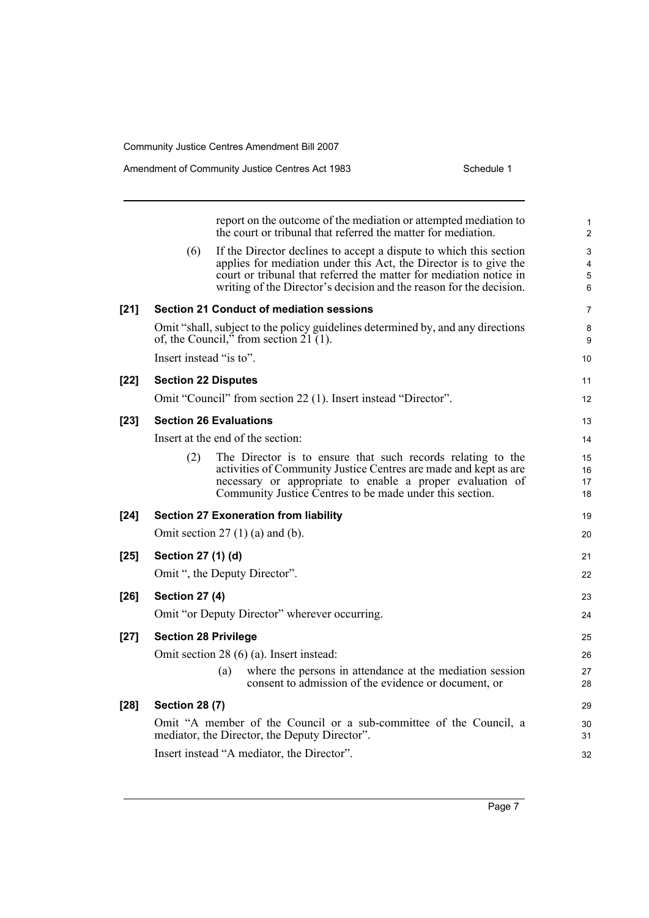|        |                             | report on the outcome of the mediation or attempted mediation to<br>the court or tribunal that referred the matter for mediation.                                                                                                                                                    | 1<br>$\overline{c}$  |
|--------|-----------------------------|--------------------------------------------------------------------------------------------------------------------------------------------------------------------------------------------------------------------------------------------------------------------------------------|----------------------|
|        | (6)                         | If the Director declines to accept a dispute to which this section<br>applies for mediation under this Act, the Director is to give the<br>court or tribunal that referred the matter for mediation notice in<br>writing of the Director's decision and the reason for the decision. | 3<br>4<br>5<br>6     |
| $[21]$ |                             | <b>Section 21 Conduct of mediation sessions</b>                                                                                                                                                                                                                                      | 7                    |
|        |                             | Omit "shall, subject to the policy guidelines determined by, and any directions<br>of, the Council," from section $21(1)$ .                                                                                                                                                          | 8<br>9               |
|        | Insert instead "is to".     |                                                                                                                                                                                                                                                                                      | 10                   |
| $[22]$ | <b>Section 22 Disputes</b>  |                                                                                                                                                                                                                                                                                      | 11                   |
|        |                             | Omit "Council" from section 22 (1). Insert instead "Director".                                                                                                                                                                                                                       | 12                   |
| $[23]$ |                             | <b>Section 26 Evaluations</b>                                                                                                                                                                                                                                                        | 13                   |
|        |                             | Insert at the end of the section:                                                                                                                                                                                                                                                    | 14                   |
|        | (2)                         | The Director is to ensure that such records relating to the<br>activities of Community Justice Centres are made and kept as are<br>necessary or appropriate to enable a proper evaluation of<br>Community Justice Centres to be made under this section.                             | 15<br>16<br>17<br>18 |
| $[24]$ |                             | <b>Section 27 Exoneration from liability</b>                                                                                                                                                                                                                                         | 19                   |
|        |                             | Omit section $27(1)(a)$ and (b).                                                                                                                                                                                                                                                     | 20                   |
| $[25]$ | Section 27 (1) (d)          |                                                                                                                                                                                                                                                                                      | 21                   |
|        |                             | Omit ", the Deputy Director".                                                                                                                                                                                                                                                        | 22                   |
| $[26]$ | <b>Section 27 (4)</b>       |                                                                                                                                                                                                                                                                                      | 23                   |
|        |                             | Omit "or Deputy Director" wherever occurring.                                                                                                                                                                                                                                        | 24                   |
| $[27]$ | <b>Section 28 Privilege</b> |                                                                                                                                                                                                                                                                                      | 25                   |
|        |                             | Omit section 28 (6) (a). Insert instead:                                                                                                                                                                                                                                             | 26                   |
|        |                             | where the persons in attendance at the mediation session<br>(a)<br>consent to admission of the evidence or document, or                                                                                                                                                              | 27<br>28             |
| $[28]$ | <b>Section 28 (7)</b>       |                                                                                                                                                                                                                                                                                      | 29                   |
|        |                             | Omit "A member of the Council or a sub-committee of the Council, a<br>mediator, the Director, the Deputy Director".                                                                                                                                                                  | 30<br>31             |
|        |                             | Insert instead "A mediator, the Director".                                                                                                                                                                                                                                           | 32                   |
|        |                             |                                                                                                                                                                                                                                                                                      |                      |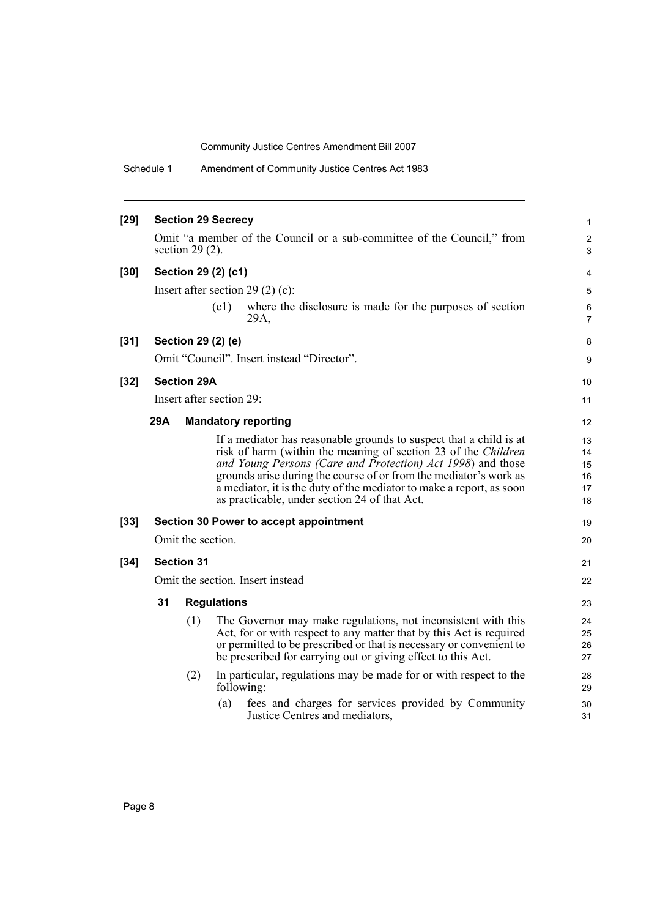Schedule 1 Amendment of Community Justice Centres Act 1983

| $[29]$ |     |                    | <b>Section 29 Secrecy</b> |                                                                                                                                                                                                                                                                                                                                                                                                          | 1                                |
|--------|-----|--------------------|---------------------------|----------------------------------------------------------------------------------------------------------------------------------------------------------------------------------------------------------------------------------------------------------------------------------------------------------------------------------------------------------------------------------------------------------|----------------------------------|
|        |     | section $29(2)$ .  |                           | Omit "a member of the Council or a sub-committee of the Council," from                                                                                                                                                                                                                                                                                                                                   | 2<br>3                           |
| $[30]$ |     |                    | Section 29 (2) (c1)       |                                                                                                                                                                                                                                                                                                                                                                                                          | 4                                |
|        |     |                    |                           | Insert after section 29 (2) (c):                                                                                                                                                                                                                                                                                                                                                                         | 5                                |
|        |     |                    | (c1)                      | where the disclosure is made for the purposes of section<br>29A,                                                                                                                                                                                                                                                                                                                                         | 6<br>$\overline{7}$              |
| $[31]$ |     | Section 29 (2) (e) |                           |                                                                                                                                                                                                                                                                                                                                                                                                          | 8                                |
|        |     |                    |                           | Omit "Council". Insert instead "Director".                                                                                                                                                                                                                                                                                                                                                               | 9                                |
| $[32]$ |     | <b>Section 29A</b> |                           |                                                                                                                                                                                                                                                                                                                                                                                                          | 10                               |
|        |     |                    | Insert after section 29:  |                                                                                                                                                                                                                                                                                                                                                                                                          | 11                               |
|        | 29A |                    |                           | <b>Mandatory reporting</b>                                                                                                                                                                                                                                                                                                                                                                               | 12                               |
|        |     |                    |                           | If a mediator has reasonable grounds to suspect that a child is at<br>risk of harm (within the meaning of section 23 of the <i>Children</i><br>and Young Persons (Care and Protection) Act 1998) and those<br>grounds arise during the course of or from the mediator's work as<br>a mediator, it is the duty of the mediator to make a report, as soon<br>as practicable, under section 24 of that Act. | 13<br>14<br>15<br>16<br>17<br>18 |
| $[33]$ |     |                    |                           | Section 30 Power to accept appointment                                                                                                                                                                                                                                                                                                                                                                   | 19                               |
|        |     | Omit the section.  |                           |                                                                                                                                                                                                                                                                                                                                                                                                          | 20                               |
| $[34]$ |     | <b>Section 31</b>  |                           |                                                                                                                                                                                                                                                                                                                                                                                                          | 21                               |
|        |     |                    |                           | Omit the section. Insert instead                                                                                                                                                                                                                                                                                                                                                                         | 22                               |
|        | 31  |                    | <b>Regulations</b>        |                                                                                                                                                                                                                                                                                                                                                                                                          | 23                               |
|        |     | (1)                |                           | The Governor may make regulations, not inconsistent with this<br>Act, for or with respect to any matter that by this Act is required<br>or permitted to be prescribed or that is necessary or convenient to<br>be prescribed for carrying out or giving effect to this Act.                                                                                                                              | 24<br>25<br>26<br>27             |
|        |     | (2)                | following:                | In particular, regulations may be made for or with respect to the                                                                                                                                                                                                                                                                                                                                        | 28<br>29                         |
|        |     |                    | (a)                       | fees and charges for services provided by Community<br>Justice Centres and mediators,                                                                                                                                                                                                                                                                                                                    | 30<br>31                         |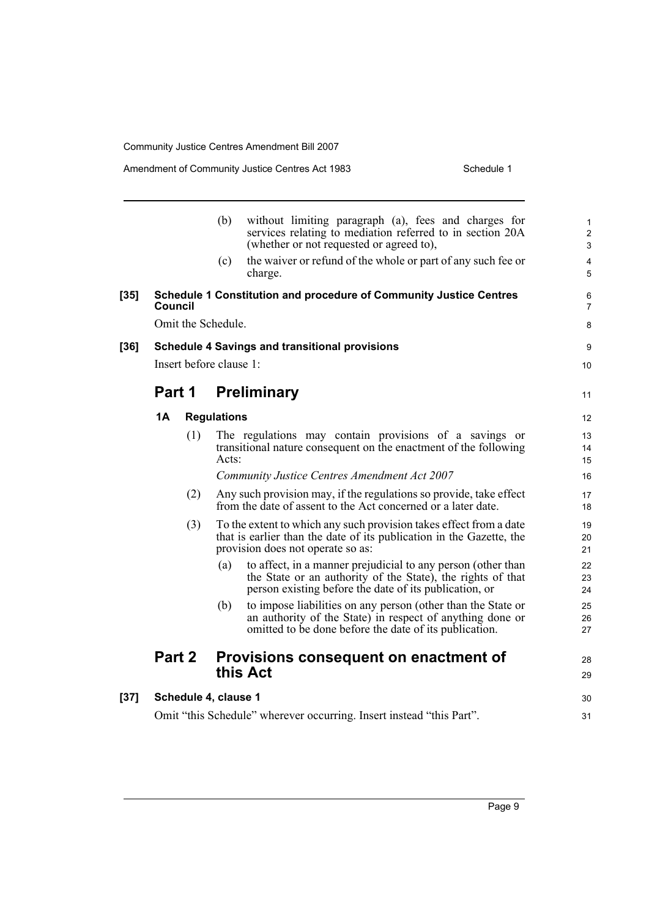Amendment of Community Justice Centres Act 1983

| Schedule 1 |  |
|------------|--|
|------------|--|

|        |         |     | (b)                     | without limiting paragraph (a), fees and charges for<br>services relating to mediation referred to in section 20A<br>(whether or not requested or agreed to),                         | 1<br>$\overline{c}$<br>3     |
|--------|---------|-----|-------------------------|---------------------------------------------------------------------------------------------------------------------------------------------------------------------------------------|------------------------------|
|        |         |     | (c)                     | the waiver or refund of the whole or part of any such fee or<br>charge.                                                                                                               | $\overline{\mathbf{4}}$<br>5 |
| $[35]$ | Council |     |                         | <b>Schedule 1 Constitution and procedure of Community Justice Centres</b>                                                                                                             | 6<br>7                       |
|        |         |     | Omit the Schedule.      |                                                                                                                                                                                       | 8                            |
| $[36]$ |         |     |                         | <b>Schedule 4 Savings and transitional provisions</b>                                                                                                                                 | 9                            |
|        |         |     | Insert before clause 1: |                                                                                                                                                                                       | 10                           |
|        | Part 1  |     |                         | <b>Preliminary</b>                                                                                                                                                                    | 11                           |
|        | 1Α      |     | <b>Regulations</b>      |                                                                                                                                                                                       | 12                           |
|        |         | (1) | Acts:                   | The regulations may contain provisions of a savings or<br>transitional nature consequent on the enactment of the following                                                            | 13<br>14<br>15               |
|        |         |     |                         | Community Justice Centres Amendment Act 2007                                                                                                                                          | 16                           |
|        |         | (2) |                         | Any such provision may, if the regulations so provide, take effect<br>from the date of assent to the Act concerned or a later date.                                                   | 17<br>18                     |
|        |         | (3) |                         | To the extent to which any such provision takes effect from a date<br>that is earlier than the date of its publication in the Gazette, the<br>provision does not operate so as:       | 19<br>20<br>21               |
|        |         |     | (a)                     | to affect, in a manner prejudicial to any person (other than<br>the State or an authority of the State), the rights of that<br>person existing before the date of its publication, or | 22<br>23<br>24               |
|        |         |     | (b)                     | to impose liabilities on any person (other than the State or<br>an authority of the State) in respect of anything done or<br>omitted to be done before the date of its publication.   | 25<br>26<br>27               |
|        | Part 2  |     |                         | Provisions consequent on enactment of<br>this Act                                                                                                                                     | 28<br>29                     |
| $[37]$ |         |     | Schedule 4, clause 1    |                                                                                                                                                                                       | 30                           |
|        |         |     |                         | Omit "this Schedule" wherever occurring. Insert instead "this Part".                                                                                                                  | 31                           |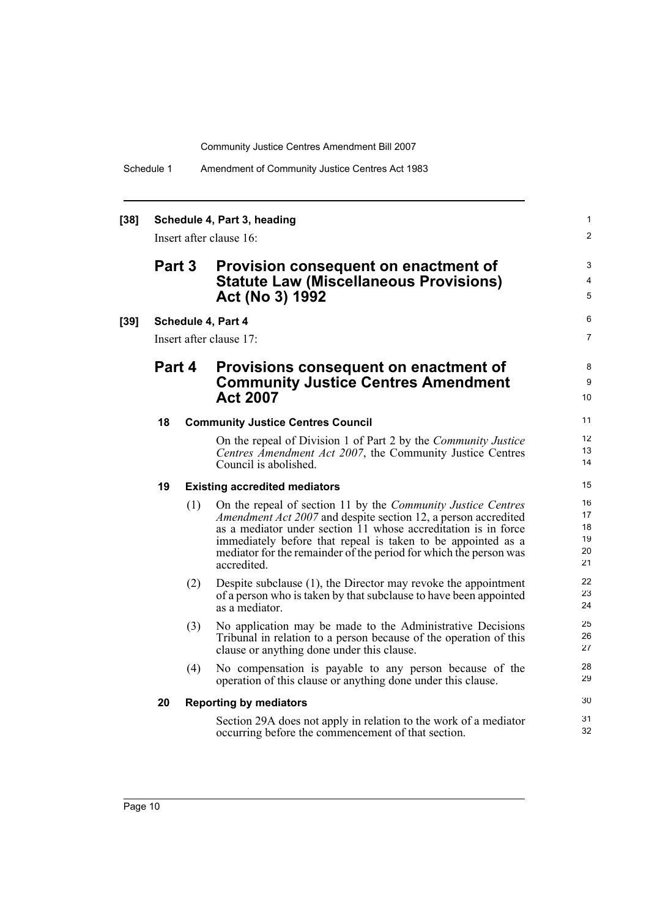| $[38]$ | Schedule 4, Part 3, heading<br>Insert after clause 16: |     |                                                                                                                                                                                                                                                                                                                                                      |                                  |  |  |  |
|--------|--------------------------------------------------------|-----|------------------------------------------------------------------------------------------------------------------------------------------------------------------------------------------------------------------------------------------------------------------------------------------------------------------------------------------------------|----------------------------------|--|--|--|
|        | Part 3                                                 |     | Provision consequent on enactment of<br><b>Statute Law (Miscellaneous Provisions)</b><br>Act (No 3) 1992                                                                                                                                                                                                                                             | 3<br>4<br>5                      |  |  |  |
| $[39]$ | Schedule 4, Part 4                                     |     |                                                                                                                                                                                                                                                                                                                                                      |                                  |  |  |  |
|        |                                                        |     | Insert after clause 17:                                                                                                                                                                                                                                                                                                                              | $\overline{7}$                   |  |  |  |
|        | Part 4                                                 |     | Provisions consequent on enactment of<br><b>Community Justice Centres Amendment</b><br><b>Act 2007</b>                                                                                                                                                                                                                                               | 8<br>9<br>10                     |  |  |  |
|        | 18                                                     |     | <b>Community Justice Centres Council</b>                                                                                                                                                                                                                                                                                                             | 11                               |  |  |  |
|        |                                                        |     | On the repeal of Division 1 of Part 2 by the Community Justice<br>Centres Amendment Act 2007, the Community Justice Centres<br>Council is abolished.                                                                                                                                                                                                 | 12<br>13<br>14                   |  |  |  |
|        | 19                                                     |     | <b>Existing accredited mediators</b>                                                                                                                                                                                                                                                                                                                 | 15                               |  |  |  |
|        |                                                        | (1) | On the repeal of section 11 by the Community Justice Centres<br>Amendment Act 2007 and despite section 12, a person accredited<br>as a mediator under section 11 whose accreditation is in force<br>immediately before that repeal is taken to be appointed as a<br>mediator for the remainder of the period for which the person was<br>accredited. | 16<br>17<br>18<br>19<br>20<br>21 |  |  |  |
|        |                                                        | (2) | Despite subclause $(1)$ , the Director may revoke the appointment<br>of a person who is taken by that subclause to have been appointed<br>as a mediator.                                                                                                                                                                                             | 22<br>23<br>24                   |  |  |  |
|        |                                                        | (3) | No application may be made to the Administrative Decisions<br>Tribunal in relation to a person because of the operation of this<br>clause or anything done under this clause.                                                                                                                                                                        | 25<br>26<br>27                   |  |  |  |
|        |                                                        | (4) | No compensation is payable to any person because of the<br>operation of this clause or anything done under this clause.                                                                                                                                                                                                                              | 28<br>29                         |  |  |  |
|        | 20                                                     |     | <b>Reporting by mediators</b>                                                                                                                                                                                                                                                                                                                        | 30                               |  |  |  |
|        |                                                        |     | Section 29A does not apply in relation to the work of a mediator<br>occurring before the commencement of that section.                                                                                                                                                                                                                               | 31<br>32                         |  |  |  |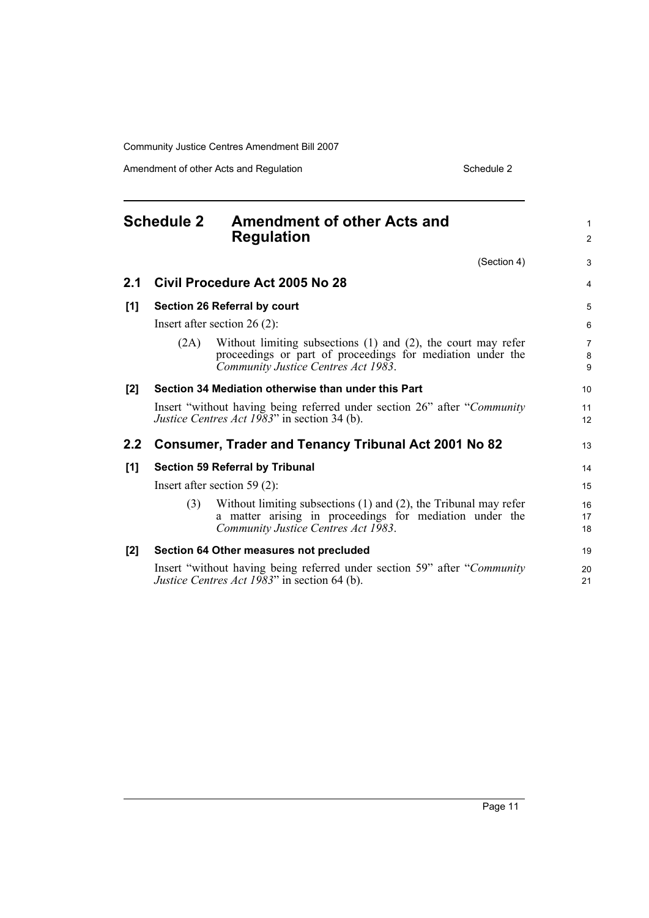Amendment of other Acts and Regulation Schedule 2

<span id="page-16-0"></span>

| <b>Schedule 2</b> |                                                             | <b>Amendment of other Acts and</b><br><b>Regulation</b>                                                                                                                 | $\mathbf{1}$<br>2        |
|-------------------|-------------------------------------------------------------|-------------------------------------------------------------------------------------------------------------------------------------------------------------------------|--------------------------|
|                   |                                                             | (Section 4)                                                                                                                                                             | 3                        |
| 2.1               |                                                             | Civil Procedure Act 2005 No 28                                                                                                                                          | $\overline{4}$           |
| [1]               |                                                             | Section 26 Referral by court                                                                                                                                            | 5                        |
|                   |                                                             | Insert after section $26(2)$ :                                                                                                                                          | 6                        |
|                   | (2A)                                                        | Without limiting subsections $(1)$ and $(2)$ , the court may refer<br>proceedings or part of proceedings for mediation under the<br>Community Justice Centres Act 1983. | $\overline{7}$<br>8<br>9 |
| [2]               |                                                             | Section 34 Mediation otherwise than under this Part                                                                                                                     | 10                       |
|                   |                                                             | Insert "without having being referred under section 26" after "Community"<br><i>Justice Centres Act 1983</i> " in section 34 (b).                                       | 11<br>12                 |
| 2.2 <sub>2</sub>  | <b>Consumer, Trader and Tenancy Tribunal Act 2001 No 82</b> |                                                                                                                                                                         | 13                       |
| [1]               |                                                             | <b>Section 59 Referral by Tribunal</b>                                                                                                                                  | 14                       |
|                   | Insert after section 59 $(2)$ :                             |                                                                                                                                                                         | 15                       |
|                   | (3)                                                         | Without limiting subsections $(1)$ and $(2)$ , the Tribunal may refer<br>a matter arising in proceedings for mediation under the<br>Community Justice Centres Act 1983. | 16<br>17<br>18           |
| [2]               |                                                             | Section 64 Other measures not precluded                                                                                                                                 | 19                       |
|                   |                                                             | Insert "without having being referred under section 59" after "Community"<br><i>Justice Centres Act 1983</i> " in section 64 (b).                                       | 20<br>21                 |